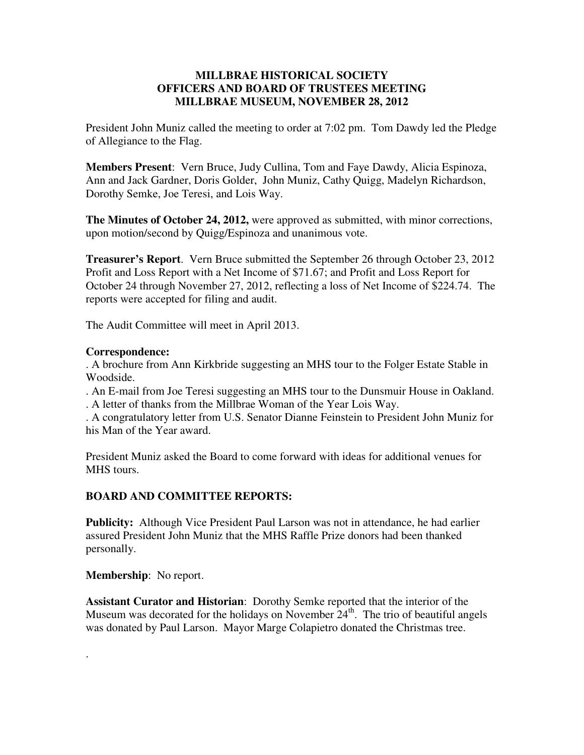## **MILLBRAE HISTORICAL SOCIETY OFFICERS AND BOARD OF TRUSTEES MEETING MILLBRAE MUSEUM, NOVEMBER 28, 2012**

President John Muniz called the meeting to order at 7:02 pm. Tom Dawdy led the Pledge of Allegiance to the Flag.

**Members Present**: Vern Bruce, Judy Cullina, Tom and Faye Dawdy, Alicia Espinoza, Ann and Jack Gardner, Doris Golder, John Muniz, Cathy Quigg, Madelyn Richardson, Dorothy Semke, Joe Teresi, and Lois Way.

**The Minutes of October 24, 2012,** were approved as submitted, with minor corrections, upon motion/second by Quigg/Espinoza and unanimous vote.

**Treasurer's Report**. Vern Bruce submitted the September 26 through October 23, 2012 Profit and Loss Report with a Net Income of \$71.67; and Profit and Loss Report for October 24 through November 27, 2012, reflecting a loss of Net Income of \$224.74. The reports were accepted for filing and audit.

The Audit Committee will meet in April 2013.

## **Correspondence:**

. A brochure from Ann Kirkbride suggesting an MHS tour to the Folger Estate Stable in Woodside.

. An E-mail from Joe Teresi suggesting an MHS tour to the Dunsmuir House in Oakland. . A letter of thanks from the Millbrae Woman of the Year Lois Way.

. A congratulatory letter from U.S. Senator Dianne Feinstein to President John Muniz for his Man of the Year award.

President Muniz asked the Board to come forward with ideas for additional venues for MHS tours.

# **BOARD AND COMMITTEE REPORTS:**

**Publicity:** Although Vice President Paul Larson was not in attendance, he had earlier assured President John Muniz that the MHS Raffle Prize donors had been thanked personally.

## **Membership**: No report.

.

**Assistant Curator and Historian**: Dorothy Semke reported that the interior of the Museum was decorated for the holidays on November  $24<sup>th</sup>$ . The trio of beautiful angels was donated by Paul Larson. Mayor Marge Colapietro donated the Christmas tree.